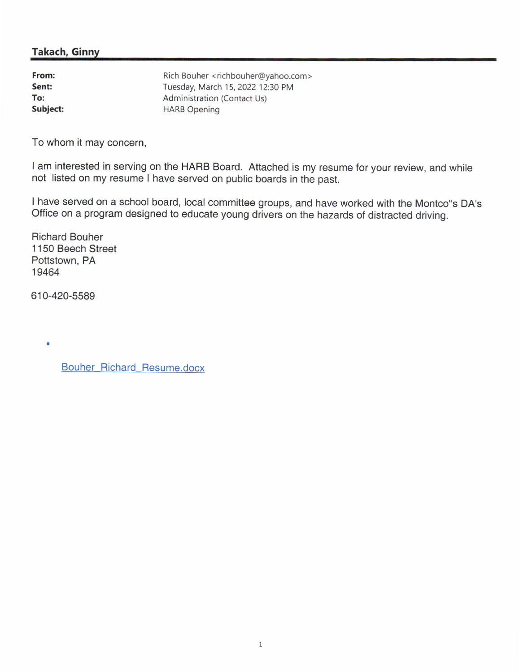### Takach, Ginny

| From:    | Rich Bouher <richbouher@yahoo.com></richbouher@yahoo.com> |
|----------|-----------------------------------------------------------|
| Sent:    | Tuesday, March 15, 2022 12:30 PM                          |
| To:      | Administration (Contact Us)                               |
| Subject: | <b>HARB Opening</b>                                       |

To whom it may concern,

I am interested in serving on the HARB Board. Attached is my resume for your review, and while not listed on my resume I have served on public boards in the past.

I have served on a school board, local committee groups, and have worked with the Montco"s DA's Office on a program designed to educate young drivers on the hazards of distracted driving.

Richard Bouher 1150 Beech Street Pottstown, PA 19464

610-420-5589

Bouher Richard Resume.docx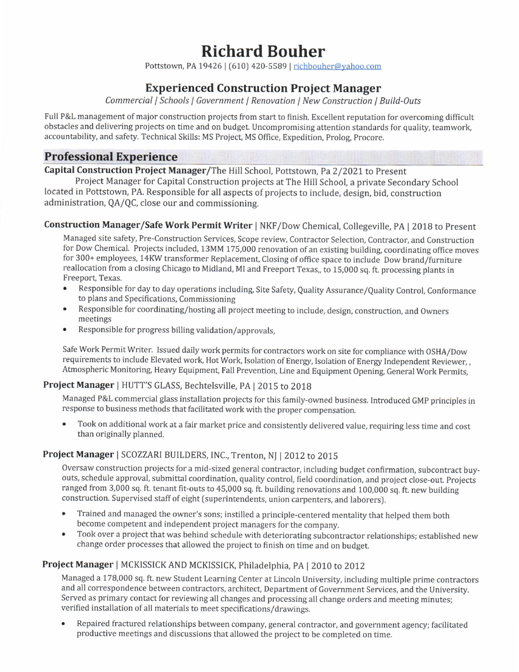# Richard Bouher

Pottstown, PA 19426 | (610) 420-5589 | richbouher@yahoo.com

# Experienced Construction Proiect Manager

Commercial | Schools | Government | Renovation | New Construction | Build-Outs

Full P&L management of major construction projects from start to finish. Excellent reputation for overcoming difficult obstacles and delivering projects on time and on budget. Uncompromising attention standards for quality, teamwork, accountability, and safety. Technical Skills: MS Project, MS 0ffice, Expedition, Prolog, Procore.

## **Professional Experience**

Capital Construction Project Manager/The Hill School, Pottstown, Pa 2/2021 to Present

Proiect Manager for Capital Construction projects at The Hill School, a private Secondary School located in Pottstown, PA. Responsible for all aspects of projects to include, design, bid, construction administration, QA/QC, close our and commissioning.

### Construction Manager/Safe Work Permit Writer I NKF/Dow Chemical, Collegeville, PA | 2018 to Present

Managed site safety, Pre-Construction Services, Scope review, Contractor Selection, Contractor, and Construction for Dow Chemical. Projects included, 13MM 175,000 renovation of an existing building, coordinating office moves for 300+ employees, 14KW transformer Replacement, Closing of office space to include Dow brand/furniture reallocation from a closing Chicago to Midland, MI and Freeport Texas,, to 15,000 sq. ft. processing plants in Freeport, Texas.

- . Responsible for day to day operations including, Site Safety, Quality Assurance/Quality Control, Conformance to plans and Specifications, Commissioning
- r Responsible for coordinating/hosting all project meeting to include, design, construction, and Owners meetings
- Responsible for progress billing validation/approvals,

Safe Work Permit Writer. Issued daily work permits for contractors work on site for compliance with OSHA/Dow requirements to include Elevated work, Hot Work, Isolation of Energy, Isolation of Energy Independent Reviewer,, Atmospheric Monitoring, Heavy Equipment, Fall Prevention, Line and Equipment Opening, General work permits,

#### Project Manager | HUTT'S GLASS, Bechtelsville, PA | 2015 to 2018

Managed P&L commercial glass installation projects for this family-owned business. Introduced GMp principles in response to business methods that facilitated work with the proper compensation.

Took on additional work at a fair market price and consistently delivered value, requiring less time and cost than originally planned.

#### Project Manager | SCOZZARI BUILDERS, INC., Trenton, NJ | 2012 to 2015

Oversaw construction projects for a mid-sized general contractor, including budget confirmation, subcontract buyouts, schedule approval, submittal coordination, quality control, field coordination, and project close-out. Projects ranged from 3,000 sq. ft. tenant fit-outs to 45,000 sq. ft. building renovations and 100,000 sq. ft. new building construction. Supervised staff of eight (superintendents, union carpenters, and laborers).

- Trained and managed the owner's sons; instilled a principle-centered mentality that helped them both become competent and independent project managers for the company.
- . Took over a project that was behind schedule with deteriorating subcontractor relationships; established new change order processes that allowed the project to finish on time and on budget.

#### Project Manager | MCKISSICK AND MCKISSICK, Philadelphia, PA | 2010 to 2012

Managed a 178,000 sq. ft. new Student Learning Center at Lincoln University, including multiple prime contractors and all correspondence between contractors, architect, Department of Government Services, and the University, Served as primary contact for reviewing all changes and processing all change orders and meeting minutes; verified installation of all materials to meet specifications/drawings.

. Repaired fractured relationships between company, general contractor, and government agency; facilitated productive meetings and discussions that allowed the project to be completed on time.